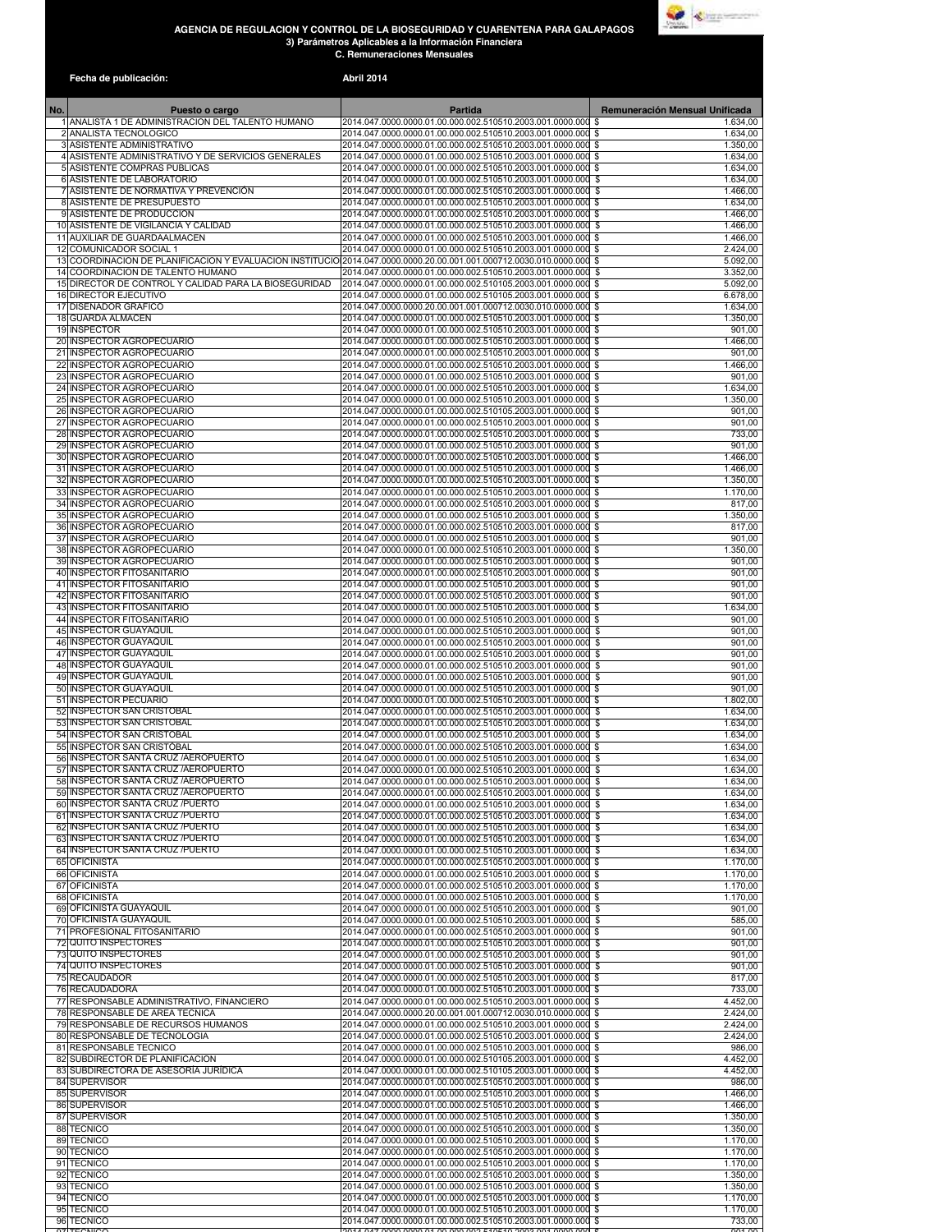## **AGENCIA DE REGULACIÓN Y CONTROL DE LA BIOSEGURIDAD Y CUARENTENA PARA GALAPAGOS 3) Parámetros Aplicables a la Información Financiera C. Remuneraciones Mensuales**



| Fecha de publicación:                                                                      | <b>Abril 2014</b>                                                                                                                                                                     |                                  |
|--------------------------------------------------------------------------------------------|---------------------------------------------------------------------------------------------------------------------------------------------------------------------------------------|----------------------------------|
| No.<br>Puesto o cargo                                                                      | <b>Partida</b>                                                                                                                                                                        | Remuneración Mensual Unificada   |
| 1 ANALISTA 1 DE ADMINISTRACION DEL TALENTO HUMANO<br>2 ANALISTA TECNOLOGICO                | 2014.047.0000.0000.01.00.000.002.510510.2003.001.0000.000<br>2014.047.0000.0000.01.00.000.002.510510.2003.001.0000.000 \$                                                             | 1.634.00<br>-\$<br>1.634,00      |
| 3 ASISTENTE ADMINISTRATIVO                                                                 | 2014.047.0000.0000.01.00.000.002.510510.2003.001.0000.000                                                                                                                             | -S<br>1.350,00                   |
| 4 ASISTENTE ADMINISTRATIVO Y DE SERVICIOS GENERALES<br>5 ASISTENTE COMPRAS PUBLICAS        | 2014.047.0000.0000.01.00.000.002.510510.2003.001.0000.000 \$<br>2014.047.0000.0000.01.00.000.002.510510.2003.001.0000.000 \$                                                          | 1.634,00<br>1.634,00             |
| 6 ASISTENTE DE LABORATORIO<br>ASISTENTE DE NORMATIVA Y PREVENCIÓN                          | 2014.047.0000.0000.01.00.000.002.510510.2003.001.0000.000 \$<br>2014.047.0000.0000.01.00.000.002.510510.2003.001.0000.000                                                             | 1.634,00<br>1.466,00<br>\$       |
| 8 ASISTENTE DE PRESUPUESTO                                                                 | 2014.047.0000.0000.01.00.000.002.510510.2003.001.0000.000                                                                                                                             | 1.634,00<br>\$                   |
| 9 ASISTENTE DE PRODUCCION<br>10 ASISTENTE DE VIGILANCIA Y CALIDAD                          | 2014.047.0000.0000.01.00.000.002.510510.2003.001.0000.000 \$<br>2014.047.0000.0000.01.00.000.002.510510.2003.001.0000.000 \$                                                          | 1.466,00<br>1.466,00             |
| 11 AUXILIAR DE GUARDAALMACEN                                                               | 2014.047.0000.0000.01.00.000.002.510510.2003.001.0000.000 \$                                                                                                                          | 1.466.00                         |
| <b>COMUNICADOR SOCIAL 1</b><br>12                                                          | 2014.047.0000.0000.01.00.000.002.510510.2003.001.0000.000 \$<br>13 COORDINACION DE PLANIFICACION Y EVALUACION INSTITUCIO 2014.047.0000.0000.20.00.001.001.000712.0030.010.0000.000 \$ | 2.424,00<br>5.092,00             |
| 14 COORDINACION DE TALENTO HUMANO<br>15 DIRECTOR DE CONTROL Y CALIDAD PARA LA BIOSEGURIDAD | 2014.047.0000.0000.01.00.000.002.510510.2003.001.0000.000 \$<br>2014.047.0000.0000.01.00.000.002.510105.2003.001.0000.000 \$                                                          | 3.352,00<br>5.092,00             |
| <b>DIRECTOR EJECUTIVO</b><br>16                                                            | 2014.047.0000.0000.01.00.000.002.510105.2003.001.0000.000 \$                                                                                                                          | 6.678,00                         |
| <b>DISENADOR GRAFICO</b><br>17<br>18<br><b>GUARDA ALMACEN</b>                              | 2014.047.0000.0000.20.00.001.001.000712.0030.010.0000.000<br>2014.047.0000.0000.01.00.000.002.510510.2003.001.0000.000                                                                | 1.634,00<br>\$<br>1.350,00<br>\$ |
| 19 INSPECTOR                                                                               | 2014.047.0000.0000.01.00.000.002.510510.2003.001.0000.000 \$                                                                                                                          | 901,00                           |
| <b>INSPECTOR AGROPECUARIO</b><br>20<br><b>INSPECTOR AGROPECUARIO</b><br>21                 | 2014.047.0000.0000.01.00.000.002.510510.2003.001.0000.000<br>2014.047.0000.0000.01.00.000.002.510510.2003.001.0000.000                                                                | 1.466,00<br>\$<br>901,00<br>\$   |
| <b>INSPECTOR AGROPECUARIO</b><br>22<br>23 INSPECTOR AGROPECUARIO                           | 2014.047.0000.0000.01.00.000.002.510510.2003.001.0000.000<br>2014.047.0000.0000.01.00.000.002.510510.2003.001.0000.000                                                                | 1.466,00<br>\$<br>901,00<br>\$   |
| 24 INSPECTOR AGROPECUARIO                                                                  | 2014.047.0000.0000.01.00.000.002.510510.2003.001.0000.000                                                                                                                             | 1.634,00<br>\$                   |
| INSPECTOR AGROPECUARIO<br>25<br><b>INSPECTOR AGROPECUARIO</b><br>26                        | 2014.047.0000.0000.01.00.000.002.510510.2003.001.0000.000 \$<br>2014.047.0000.0000.01.00.000.002.510105.2003.001.0000.000 \$                                                          | 1.350,00<br>901.00               |
| 27<br>INSPECTOR AGROPECUARIO<br>28 INSPECTOR AGROPECUARIO                                  | 2014.047.0000.0000.01.00.000.002.510510.2003.001.0000.000 \$                                                                                                                          | 901,00                           |
| 29<br><b>INSPECTOR AGROPECUARIO</b>                                                        | 2014.047.0000.0000.01.00.000.002.510510.2003.001.0000.000 \$<br>2014.047.0000.0000.01.00.000.002.510510.2003.001.0000.000                                                             | 733,00<br>901,00<br>-\$          |
| <b>INSPECTOR AGROPECUARIO</b><br>30<br><b>INSPECTOR AGROPECUARIO</b><br>31                 | 2014.047.0000.0000.01.00.000.002.510510.2003.001.0000.000 \$<br>2014.047.0000.0000.01.00.000.002.510510.2003.001.0000.000 \$                                                          | 1.466,00<br>1.466,00             |
| 32 INSPECTOR AGROPECUARIO                                                                  | 2014.047.0000.0000.01.00.000.002.510510.2003.001.0000.000 \$                                                                                                                          | 1.350.00                         |
| 33<br><b>INSPECTOR AGROPECUARIO</b><br><b>INSPECTOR AGROPECUARIO</b><br>34                 | 2014.047.0000.0000.01.00.000.002.510510.2003.001.0000.000 \$<br>2014.047.0000.0000.01.00.000.002.510510.2003.001.0000.000 \$                                                          | 1.170,00<br>817,00               |
| <b>INSPECTOR AGROPECUARIO</b><br>35<br><b>INSPECTOR AGROPECUARIO</b><br>36                 | 2014.047.0000.0000.01.00.000.002.510510.2003.001.0000.000 \$<br>2014.047.0000.0000.01.00.000.002.510510.2003.001.0000.000 \$                                                          | 1.350,00<br>817,00               |
| INSPECTOR AGROPECUARIO<br>37                                                               | 2014.047.0000.0000.01.00.000.002.510510.2003.001.0000.000 \$                                                                                                                          | 901,00                           |
| 38 INSPECTOR AGROPECUARIO<br>39 INSPECTOR AGROPECUARIO                                     | 2014.047.0000.0000.01.00.000.002.510510.2003.001.0000.000 \$<br>2014.047.0000.0000.01.00.000.002.510510.2003.001.0000.000 \$                                                          | 1.350,00<br>901,00               |
| 40 INSPECTOR FITOSANITARIO                                                                 | 2014.047.0000.0000.01.00.000.002.510510.2003.001.0000.000 \$                                                                                                                          | 901,00                           |
| <b>INSPECTOR FITOSANITARIO</b><br>41<br><b>INSPECTOR FITOSANITARIO</b><br>42               | 2014.047.0000.0000.01.00.000.002.510510.2003.001.0000.000<br>2014.047.0000.0000.01.00.000.002.510510.2003.001.0000.000 \$                                                             | 901,00<br>\$<br>901,00           |
| 43<br><b>INSPECTOR FITOSANITARIO</b><br><b>INSPECTOR FITOSANITARIO</b><br>44               | 2014.047.0000.0000.01.00.000.002.510510.2003.001.0000.000 \$<br>2014.047.0000.0000.01.00.000.002.510510.2003.001.0000.000 \$                                                          | 1.634,00<br>901,00               |
| <b>INSPECTOR GUAYAQUIL</b><br>45                                                           | 2014.047.0000.0000.01.00.000.002.510510.2003.001.0000.000                                                                                                                             | 901,00<br>\$                     |
| <b>INSPECTOR GUAYAQUIL</b><br>46<br><b>INSPECTOR GUAYAQUIL</b><br>47                       | 2014.047.0000.0000.01.00.000.002.510510.2003.001.0000.000<br>2014.047.0000.0000.01.00.000.002.510510.2003.001.0000.000                                                                | 901,00<br>\$<br>901,00<br>\$     |
| <b>INSPECTOR GUAYAQUIL</b><br>48<br><b>INSPECTOR GUAYAQUIL</b><br>49                       | 2014.047.0000.0000.01.00.000.002.510510.2003.001.0000.000<br>2014.047.0000.0000.01.00.000.002.510510.2003.001.0000.000                                                                | 901,00<br>\$<br>901,00           |
| 50<br><b>INSPECTOR GUAYAQUIL</b>                                                           | 2014.047.0000.0000.01.00.000.002.510510.2003.001.0000.000                                                                                                                             | \$<br>901,00<br>\$               |
| <b>INSPECTOR PECUARIO</b><br>51<br>52<br><b>INSPECTOR SAN CRISTOBAL</b>                    | 2014.047.0000.0000.01.00.000.002.510510.2003.001.0000.000<br>2014.047.0000.0000.01.00.000.002.510510.2003.001.0000.000                                                                | \$<br>1.802,00<br>-S<br>1.634,00 |
| 53 INSPECTOR SAN CRISTOBAL                                                                 | 2014.047.0000.0000.01.00.000.002.510510.2003.001.0000.000                                                                                                                             | 1.634.00<br>\$                   |
| <b>INSPECTOR SAN CRISTOBAL</b><br>54<br>55 INSPECTOR SAN CRISTÓBAL                         | 2014.047.0000.0000.01.00.000.002.510510.2003.001.0000.000<br>2014.047.0000.0000.01.00.000.002.510510.2003.001.0000.000                                                                | \$<br>1.634,00<br>\$<br>1.634.00 |
| 56 INSPECTOR SANTA CRUZ / AEROPUERTO<br>57 INSPECTOR SANTA CRUZ / AEROPUERTO               | 2014.047.0000.0000.01.00.000.002.510510.2003.001.0000.000 \$<br>2014.047.0000.0000.01.00.000.002.510510.2003.001.0000.000 \$                                                          | 1.634,00<br>1.634,00             |
| 58 INSPECTOR SANTA CRUZ / AEROPUERTO                                                       | 2014.047.0000.0000.01.00.000.002.510510.2003.001.0000.000 \$                                                                                                                          | 1.634,00                         |
| 59 INSPECTOR SANTA CRUZ / AEROPUERTO<br>60 INSPECTOR SANTA CRUZ / PUERTO                   | 2014.047.0000.0000.01.00.000.002.510510.2003.001.0000.000 \$<br>2014.047.0000.0000.01.00.000.002.510510.2003.001.0000.000 \$                                                          | 1.634,00<br>1.634,00             |
| <b>INSPECTOR SANTA CRUZ /PUERTO</b><br>61<br>62 INSPECTOR SANTA CRUZ / PUERTO              | 2014.047.0000.0000.01.00.000.002.510510.2003.001.0000.000 \$<br>2014.047.0000.0000.01.00.000.002.510510.2003.001.0000.000 \$                                                          | 1.634,00<br>1.634,00             |
| 63 INSPECTOR SANTA CRUZ / PUERTO                                                           | 2014.047.0000.0000.01.00.000.002.510510.2003.001.0000.000 \$                                                                                                                          | 1.634.00                         |
| 64 INSPECTOR SANTA CRUZ / PUERTO<br>65 OFICINISTA                                          | 2014.047.0000.0000.01.00.000.002.510510.2003.001.0000.000 \$<br>2014.047.0000.0000.01.00.000.002.510510.2003.001.0000.000 \$                                                          | 1.634,00<br>1.170.00             |
| 66 OFICINISTA<br><b>OFICINISTA</b><br>67                                                   | 2014.047.0000.0000.01.00.000.002.510510.2003.001.0000.000 \$<br>2014.047.0000.0000.01.00.000.002.510510.2003.001.0000.000 \$                                                          | 1.170,00<br>1.170,00             |
| 68 OFICINISTA                                                                              | 2014.047.0000.0000.01.00.000.002.510510.2003.001.0000.000 \$                                                                                                                          | 1.170,00                         |
| 69 OFICINISTA GUAYAQUIL<br>70 OFICINISTA GUAYAQUIL                                         | 2014.047.0000.0000.01.00.000.002.510510.2003.001.0000.000 \$<br>2014.047.0000.0000.01.00.000.002.510510.2003.001.0000.000                                                             | 901,00<br>S,<br>585,00           |
| 71 PROFESIONAL FITOSANITARIO                                                               | 2014.047.0000.0000.01.00.000.002.510510.2003.001.0000.000                                                                                                                             | 901,00<br>\$                     |
| 72 QUITO INSPECTORES<br>73 QUITO INSPECTORES                                               | 2014.047.0000.0000.01.00.000.002.510510.2003.001.0000.000<br>2014.047.0000.0000.01.00.000.002.510510.2003.001.0000.000                                                                | 901,00<br>\$<br>901,00<br>\$     |
| 74 QUITO INSPECTORES<br>75 RECAUDADOR                                                      | 2014.047.0000.0000.01.00.000.002.510510.2003.001.0000.000<br>2014.047.0000.0000.01.00.000.002.510510.2003.001.0000.000 \$                                                             | \$<br>901,00<br>817,00           |
| 76 RECAUDADORA                                                                             | 2014.047.0000.0000.01.00.000.002.510510.2003.001.0000.000 \$                                                                                                                          | 733,00                           |
| 77 RESPONSABLE ADMINISTRATIVO, FINANCIERO<br>78 RESPONSABLE DE AREA TECNICA                | 2014.047.0000.0000.01.00.000.002.510510.2003.001.0000.000 \$<br>2014.047.0000.0000.20.00.001.001.000712.0030.010.0000.000 \$                                                          | 4.452,00<br>2.424,00             |
| 79 RESPONSABLE DE RECURSOS HUMANOS<br>80 RESPONSABLE DE TECNOLOGIA                         | 2014.047.0000.0000.01.00.000.002.510510.2003.001.0000.000 \$<br>2014.047.0000.0000.01.00.000.002.510510.2003.001.0000.000 \$                                                          | 2.424,00<br>2.424.00             |
| 81 RESPONSABLE TECNICO                                                                     | 2014.047.0000.0000.01.00.000.002.510510.2003.001.0000.000 \$                                                                                                                          | 986,00                           |
| 82 SUBDIRECTOR DE PLANIFICACION<br>83 SUBDIRECTORA DE ASESORÍA JURÍDICA                    | 2014.047.0000.0000.01.00.000.002.510105.2003.001.0000.000 \$<br>2014.047.0000.0000.01.00.000.002.510105.2003.001.0000.000 \$                                                          | 4.452,00<br>4.452,00             |
| 84 SUPERVISOR                                                                              | 2014.047.0000.0000.01.00.000.002.510510.2003.001.0000.000 \$                                                                                                                          | 986,00                           |
| 85 SUPERVISOR<br>86 SUPERVISOR                                                             | 2014.047.0000.0000.01.00.000.002.510510.2003.001.0000.000 \$<br>2014.047.0000.0000.01.00.000.002.510510.2003.001.0000.000 \$                                                          | 1.466,00<br>1.466,00             |
| 87 SUPERVISOR<br>88 TECNICO                                                                | 2014.047.0000.0000.01.00.000.002.510510.2003.001.0000.000 \$<br>2014.047.0000.0000.01.00.000.002.510510.2003.001.0000.000 \$                                                          | 1.350,00<br>1.350,00             |
| 89 TECNICO                                                                                 | 2014.047.0000.0000.01.00.000.002.510510.2003.001.0000.000 \$                                                                                                                          | 1.170,00                         |
| 90 TECNICO<br>91 TECNICO                                                                   | 2014.047.0000.0000.01.00.000.002.510510.2003.001.0000.000 \$<br>2014.047.0000.0000.01.00.000.002.510510.2003.001.0000.000 \$                                                          | 1.170,00<br>1.170,00             |
| 92 TECNICO<br>93 TECNICO                                                                   | 2014.047.0000.0000.01.00.000.002.510510.2003.001.0000.000 \$<br>2014.047.0000.0000.01.00.000.002.510510.2003.001.0000.000 \$                                                          | 1.350,00<br>1.350,00             |
| 94 TECNICO                                                                                 | 2014.047.0000.0000.01.00.000.002.510510.2003.001.0000.000 \$                                                                                                                          | 1.170,00                         |
| 95 TECNICO<br>96 TECNICO                                                                   | 2014.047.0000.0000.01.00.000.002.510510.2003.001.0000.000 \$<br>2014.047.0000.0000.01.00.000.002.510510.2003.001.0000.000 \$                                                          | 1.170,00<br>733,00               |

TECNICO 2014.047.0000.0000.01.00.000.002.510510.2003.001.0000.0000\$ 901,00